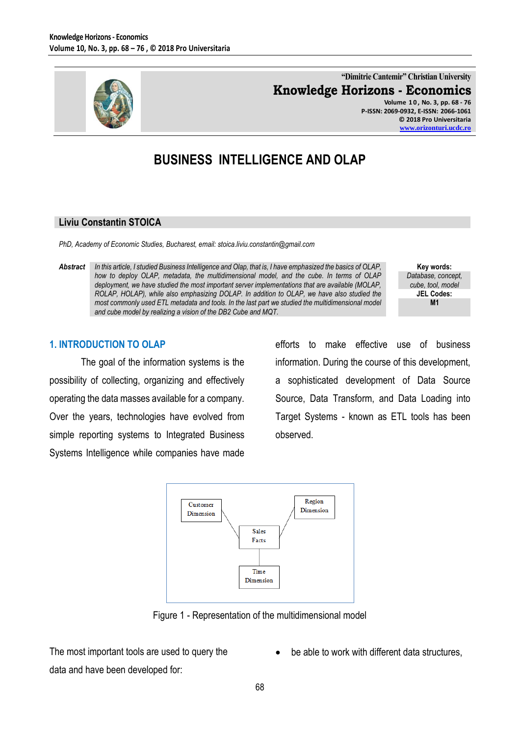

**"Dimitrie Cantemir" Christian University Knowledge Horizons - Economics Volume 1 0 , No. 3, pp. 68 - 76**

**P-ISSN: 2069-0932, E-ISSN: 2066-1061 © 2018 Pro Universitaria [www.orizonturi.ucdc.ro](http://www.orizonturi.ucdc.ro/)**

# **BUSINESS INTELLIGENCE AND OLAP**

#### **Liviu Constantin STOICA**

*PhD, Academy of Economic Studies, Bucharest, email: stoica.liviu.constantin@gmail.com*

*Abstract In this article, I studied Business Intelligence and Olap, that is, I have emphasized the basics of OLAP, how to deploy OLAP, metadata, the multidimensional model, and the cube. In terms of OLAP deployment, we have studied the most important server implementations that are available (MOLAP, ROLAP, HOLAP), while also emphasizing DOLAP. In addition to OLAP, we have also studied the most commonly used ETL metadata and tools. In the last part we studied the multidimensional model and cube model by realizing a vision of the DB2 Cube and MQT.*

**Key words:** *Database, concept, cube, tool, model* **JEL Codes: M1**

### **1. INTRODUCTION TO OLAP**

The goal of the information systems is the possibility of collecting, organizing and effectively operating the data masses available for a company. Over the years, technologies have evolved from simple reporting systems to Integrated Business Systems Intelligence while companies have made

efforts to make effective use of business information. During the course of this development, a sophisticated development of Data Source Source, Data Transform, and Data Loading into Target Systems - known as ETL tools has been observed.



Figure 1 - Representation of the multidimensional model

The most important tools are used to query the data and have been developed for:

be able to work with different data structures,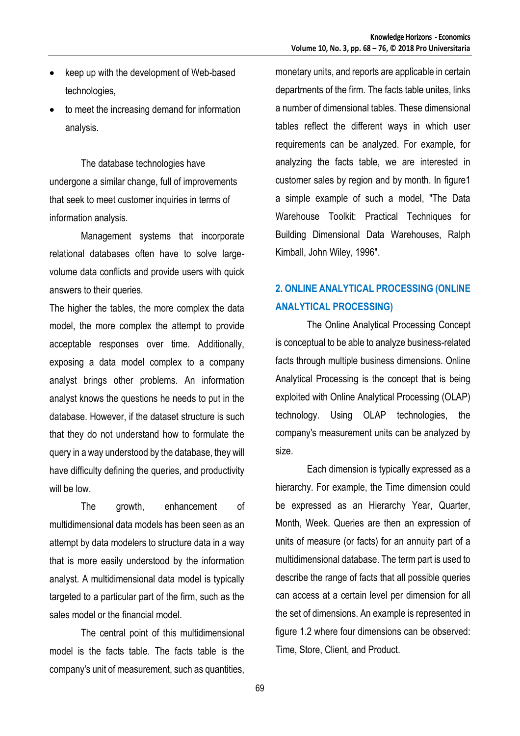- keep up with the development of Web-based technologies,
- to meet the increasing demand for information analysis.

The database technologies have undergone a similar change, full of improvements that seek to meet customer inquiries in terms of information analysis.

Management systems that incorporate relational databases often have to solve largevolume data conflicts and provide users with quick answers to their queries.

The higher the tables, the more complex the data model, the more complex the attempt to provide acceptable responses over time. Additionally, exposing a data model complex to a company analyst brings other problems. An information analyst knows the questions he needs to put in the database. However, if the dataset structure is such that they do not understand how to formulate the query in a way understood by the database, they will have difficulty defining the queries, and productivity will be low.

The growth, enhancement of multidimensional data models has been seen as an attempt by data modelers to structure data in a way that is more easily understood by the information analyst. A multidimensional data model is typically targeted to a particular part of the firm, such as the sales model or the financial model.

The central point of this multidimensional model is the facts table. The facts table is the company's unit of measurement, such as quantities, monetary units, and reports are applicable in certain departments of the firm. The facts table unites, links a number of dimensional tables. These dimensional tables reflect the different ways in which user requirements can be analyzed. For example, for analyzing the facts table, we are interested in customer sales by region and by month. In figure1 a simple example of such a model, "The Data Warehouse Toolkit: Practical Techniques for Building Dimensional Data Warehouses, Ralph Kimball, John Wiley, 1996".

# **2. ONLINE ANALYTICAL PROCESSING (ONLINE ANALYTICAL PROCESSING)**

The Online Analytical Processing Concept is conceptual to be able to analyze business-related facts through multiple business dimensions. Online Analytical Processing is the concept that is being exploited with Online Analytical Processing (OLAP) technology. Using OLAP technologies, the company's measurement units can be analyzed by size.

Each dimension is typically expressed as a hierarchy. For example, the Time dimension could be expressed as an Hierarchy Year, Quarter, Month, Week. Queries are then an expression of units of measure (or facts) for an annuity part of a multidimensional database. The term part is used to describe the range of facts that all possible queries can access at a certain level per dimension for all the set of dimensions. An example is represented in figure 1.2 where four dimensions can be observed: Time, Store, Client, and Product.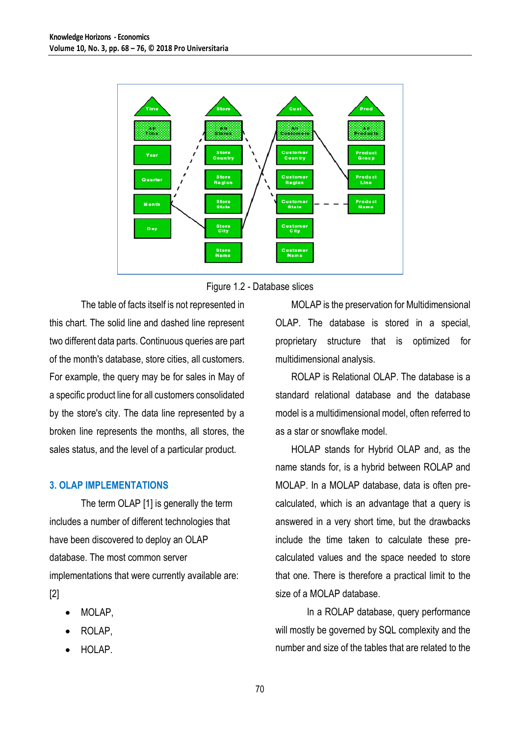



The table of facts itself is not represented in this chart. The solid line and dashed line represent two different data parts. Continuous queries are part of the month's database, store cities, all customers. For example, the query may be for sales in May of a specific product line for all customers consolidated by the store's city. The data line represented by a broken line represents the months, all stores, the sales status, and the level of a particular product.

### **3. OLAP IMPLEMENTATIONS**

The term OLAP [1] is generally the term includes a number of different technologies that have been discovered to deploy an OLAP database. The most common server implementations that were currently available are: [2]

- MOLAP,
- ROLAP,
- HOLAP.

MOLAP is the preservation for Multidimensional OLAP. The database is stored in a special, proprietary structure that is optimized for multidimensional analysis.

ROLAP is Relational OLAP. The database is a standard relational database and the database model is a multidimensional model, often referred to as a star or snowflake model.

HOLAP stands for Hybrid OLAP and, as the name stands for, is a hybrid between ROLAP and MOLAP. In a MOLAP database, data is often precalculated, which is an advantage that a query is answered in a very short time, but the drawbacks include the time taken to calculate these precalculated values and the space needed to store that one. There is therefore a practical limit to the size of a MOLAP database.

In a ROLAP database, query performance will mostly be governed by SQL complexity and the number and size of the tables that are related to the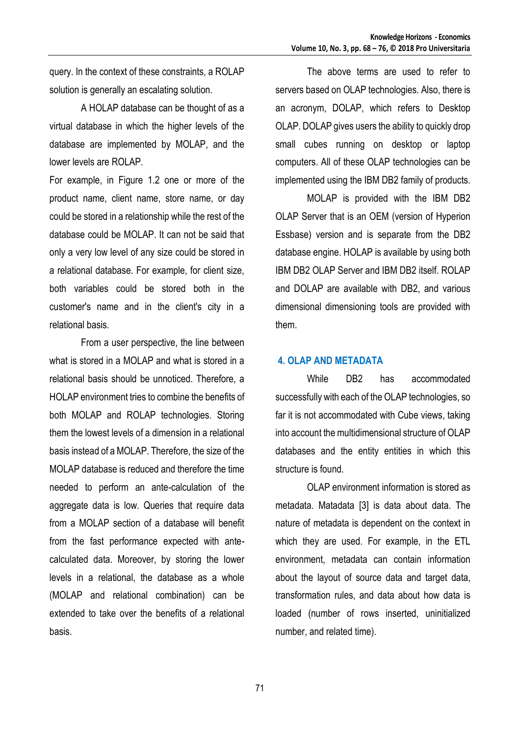query. In the context of these constraints, a ROLAP solution is generally an escalating solution.

A HOLAP database can be thought of as a virtual database in which the higher levels of the database are implemented by MOLAP, and the lower levels are ROLAP.

For example, in Figure 1.2 one or more of the product name, client name, store name, or day could be stored in a relationship while the rest of the database could be MOLAP. It can not be said that only a very low level of any size could be stored in a relational database. For example, for client size, both variables could be stored both in the customer's name and in the client's city in a relational basis.

From a user perspective, the line between what is stored in a MOLAP and what is stored in a relational basis should be unnoticed. Therefore, a HOLAP environment tries to combine the benefits of both MOLAP and ROLAP technologies. Storing them the lowest levels of a dimension in a relational basis instead of a MOLAP. Therefore, the size of the MOLAP database is reduced and therefore the time needed to perform an ante-calculation of the aggregate data is low. Queries that require data from a MOLAP section of a database will benefit from the fast performance expected with antecalculated data. Moreover, by storing the lower levels in a relational, the database as a whole (MOLAP and relational combination) can be extended to take over the benefits of a relational basis.

The above terms are used to refer to servers based on OLAP technologies. Also, there is an acronym, DOLAP, which refers to Desktop OLAP. DOLAP gives users the ability to quickly drop small cubes running on desktop or laptop computers. All of these OLAP technologies can be implemented using the IBM DB2 family of products.

MOLAP is provided with the IBM DB2 OLAP Server that is an OEM (version of Hyperion Essbase) version and is separate from the DB2 database engine. HOLAP is available by using both IBM DB2 OLAP Server and IBM DB2 itself. ROLAP and DOLAP are available with DB2, and various dimensional dimensioning tools are provided with them.

#### **4. OLAP AND METADATA**

While DB2 has accommodated successfully with each of the OLAP technologies, so far it is not accommodated with Cube views, taking into account the multidimensional structure of OLAP databases and the entity entities in which this structure is found.

OLAP environment information is stored as metadata. Matadata [3] is data about data. The nature of metadata is dependent on the context in which they are used. For example, in the ETL environment, metadata can contain information about the layout of source data and target data, transformation rules, and data about how data is loaded (number of rows inserted, uninitialized number, and related time).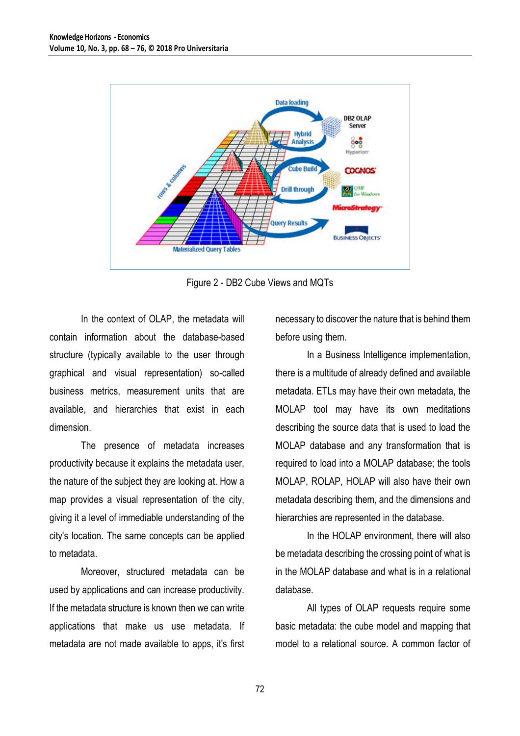

Figure 2 - DB2 Cube Views and MQTs

In the context of OLAP, the metadata will contain information about the database-based structure (typically available to the user through graphical and visual representation) so-called business metrics, measurement units that are available, and hierarchies that exist in each dimension.

The presence of metadata increases productivity because it explains the metadata user, the nature of the subject they are looking at. How a map provides a visual representation of the city, giving it a level of immediable understanding of the city's location. The same concepts can be applied to metadata.

Moreover, structured metadata can be used by applications and can increase productivity. If the metadata structure is known then we can write applications that make us use metadata. If metadata are not made available to apps, it's first necessary to discover the nature that is behind them before using them.

In a Business Intelligence implementation, there is a multitude of already defined and available metadata. ETLs may have their own metadata, the MOLAP tool may have its own meditations describing the source data that is used to load the MOLAP database and any transformation that is required to load into a MOLAP database; the tools MOLAP, ROLAP, HOLAP will also have their own metadata describing them, and the dimensions and hierarchies are represented in the database.

In the HOLAP environment, there will also be metadata describing the crossing point of what is in the MOLAP database and what is in a relational database.

All types of OLAP requests require some basic metadata: the cube model and mapping that model to a relational source. A common factor of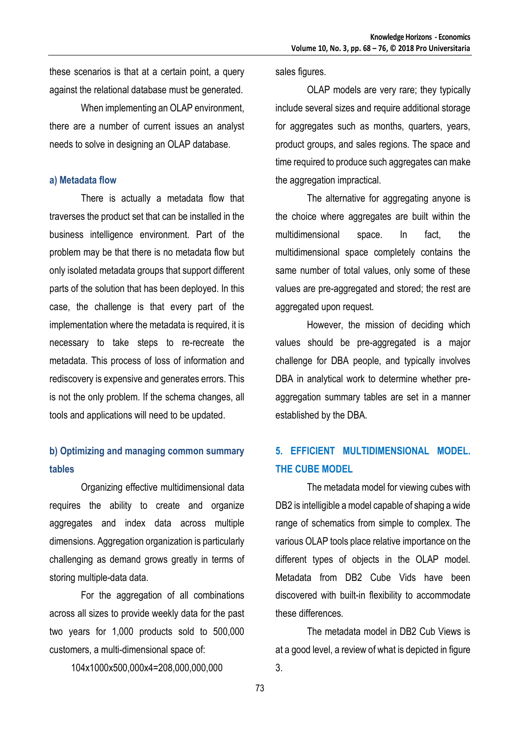these scenarios is that at a certain point, a query against the relational database must be generated.

When implementing an OLAP environment, there are a number of current issues an analyst needs to solve in designing an OLAP database.

#### **a) Metadata flow**

There is actually a metadata flow that traverses the product set that can be installed in the business intelligence environment. Part of the problem may be that there is no metadata flow but only isolated metadata groups that support different parts of the solution that has been deployed. In this case, the challenge is that every part of the implementation where the metadata is required, it is necessary to take steps to re-recreate the metadata. This process of loss of information and rediscovery is expensive and generates errors. This is not the only problem. If the schema changes, all tools and applications will need to be updated.

## **b) Optimizing and managing common summary tables**

Organizing effective multidimensional data requires the ability to create and organize aggregates and index data across multiple dimensions. Aggregation organization is particularly challenging as demand grows greatly in terms of storing multiple-data data.

For the aggregation of all combinations across all sizes to provide weekly data for the past two years for 1,000 products sold to 500,000 customers, a multi-dimensional space of:

104x1000x500,000x4=208,000,000,000

sales figures.

OLAP models are very rare; they typically include several sizes and require additional storage for aggregates such as months, quarters, years, product groups, and sales regions. The space and time required to produce such aggregates can make the aggregation impractical.

The alternative for aggregating anyone is the choice where aggregates are built within the multidimensional space. In fact, the multidimensional space completely contains the same number of total values, only some of these values are pre-aggregated and stored; the rest are aggregated upon request.

However, the mission of deciding which values should be pre-aggregated is a major challenge for DBA people, and typically involves DBA in analytical work to determine whether preaggregation summary tables are set in a manner established by the DBA.

# **5. EFFICIENT MULTIDIMENSIONAL MODEL. THE CUBE MODEL**

The metadata model for viewing cubes with DB2 is intelligible a model capable of shaping a wide range of schematics from simple to complex. The various OLAP tools place relative importance on the different types of objects in the OLAP model. Metadata from DB2 Cube Vids have been discovered with built-in flexibility to accommodate these differences.

The metadata model in DB2 Cub Views is at a good level, a review of what is depicted in figure 3.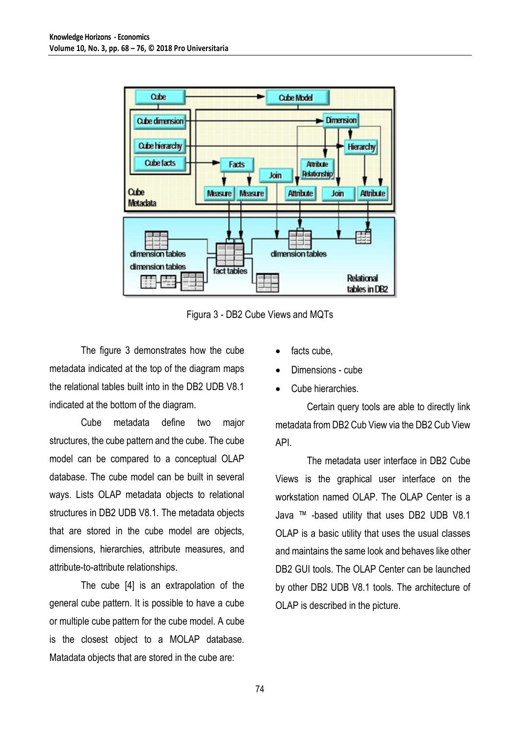

Figura 3 - DB2 Cube Views and MQTs

The figure 3 demonstrates how the cube metadata indicated at the top of the diagram maps the relational tables built into in the DB2 UDB V8.1 indicated at the bottom of the diagram.

Cube metadata define two major structures, the cube pattern and the cube. The cube model can be compared to a conceptual OLAP database. The cube model can be built in several ways. Lists OLAP metadata objects to relational structures in DB2 UDB V8.1. The metadata objects that are stored in the cube model are objects, dimensions, hierarchies, attribute measures, and attribute-to-attribute relationships.

The cube [4] is an extrapolation of the general cube pattern. It is possible to have a cube or multiple cube pattern for the cube model. A cube is the closest object to a MOLAP database. Matadata objects that are stored in the cube are:

- facts cube,
- Dimensions cube
- Cube hierarchies.

Certain query tools are able to directly link metadata from DB2 Cub View via the DB2 Cub View API.

The metadata user interface in DB2 Cube Views is the graphical user interface on the workstation named OLAP. The OLAP Center is a Java ™ -based utility that uses DB2 UDB V8.1 OLAP is a basic utility that uses the usual classes and maintains the same look and behaves like other DB2 GUI tools. The OLAP Center can be launched by other DB2 UDB V8.1 tools. The architecture of OLAP is described in the picture.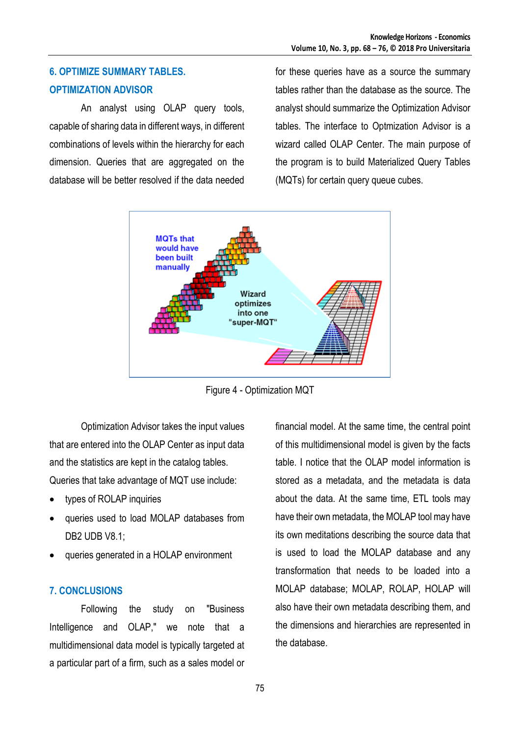# **6. OPTIMIZE SUMMARY TABLES. OPTIMIZATION ADVISOR**

An analyst using OLAP query tools, capable of sharing data in different ways, in different combinations of levels within the hierarchy for each dimension. Queries that are aggregated on the database will be better resolved if the data needed

for these queries have as a source the summary tables rather than the database as the source. The analyst should summarize the Optimization Advisor tables. The interface to Optmization Advisor is a wizard called OLAP Center. The main purpose of the program is to build Materialized Query Tables (MQTs) for certain query queue cubes.



Figure 4 - Optimization MQT

Optimization Advisor takes the input values that are entered into the OLAP Center as input data and the statistics are kept in the catalog tables. Queries that take advantage of MQT use include:

- types of ROLAP inquiries
- queries used to load MOLAP databases from DB2 UDB V8.1;
- queries generated in a HOLAP environment

### **7. CONCLUSIONS**

Following the study on "Business Intelligence and OLAP," we note that a multidimensional data model is typically targeted at a particular part of a firm, such as a sales model or

financial model. At the same time, the central point of this multidimensional model is given by the facts table. I notice that the OLAP model information is stored as a metadata, and the metadata is data about the data. At the same time, ETL tools may have their own metadata, the MOLAP tool may have its own meditations describing the source data that is used to load the MOLAP database and any transformation that needs to be loaded into a MOLAP database; MOLAP, ROLAP, HOLAP will also have their own metadata describing them, and the dimensions and hierarchies are represented in the database.